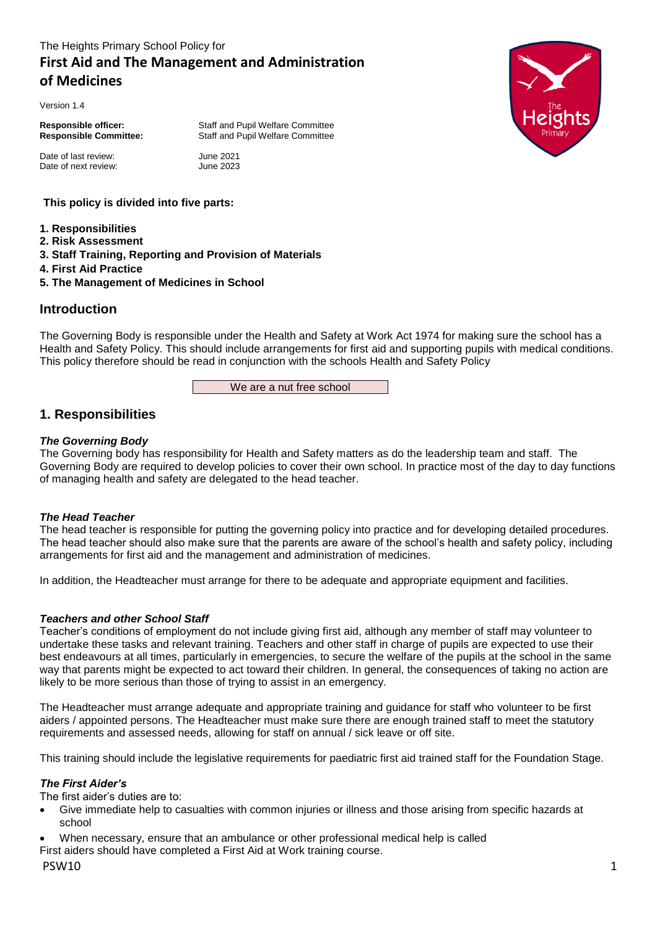# The Heights Primary School Policy for **First Aid and The Management and Administration of Medicines**

Version 1.4

Date of last review: June 2021 Date of next review: June 2023

**Responsible officer:** Staff and Pupil Welfare Committee **Responsible Committee:** Staff and Pupil Welfare Committee

**This policy is divided into five parts:**

- **1. Responsibilities**
- **2. Risk Assessment**
- **3. Staff Training, Reporting and Provision of Materials**
- **4. First Aid Practice**
- **5. The Management of Medicines in School**

# **Introduction**

The Governing Body is responsible under the Health and Safety at Work Act 1974 for making sure the school has a Health and Safety Policy. This should include arrangements for first aid and supporting pupils with medical conditions. This policy therefore should be read in conjunction with the schools Health and Safety Policy

We are a nut free school

# **1. Responsibilities**

# *The Governing Body*

The Governing body has responsibility for Health and Safety matters as do the leadership team and staff. The Governing Body are required to develop policies to cover their own school. In practice most of the day to day functions of managing health and safety are delegated to the head teacher.

## *The Head Teacher*

The head teacher is responsible for putting the governing policy into practice and for developing detailed procedures. The head teacher should also make sure that the parents are aware of the school's health and safety policy, including arrangements for first aid and the management and administration of medicines.

In addition, the Headteacher must arrange for there to be adequate and appropriate equipment and facilities.

## *Teachers and other School Staff*

Teacher's conditions of employment do not include giving first aid, although any member of staff may volunteer to undertake these tasks and relevant training. Teachers and other staff in charge of pupils are expected to use their best endeavours at all times, particularly in emergencies, to secure the welfare of the pupils at the school in the same way that parents might be expected to act toward their children. In general, the consequences of taking no action are likely to be more serious than those of trying to assist in an emergency.

The Headteacher must arrange adequate and appropriate training and guidance for staff who volunteer to be first aiders / appointed persons. The Headteacher must make sure there are enough trained staff to meet the statutory requirements and assessed needs, allowing for staff on annual / sick leave or off site.

This training should include the legislative requirements for paediatric first aid trained staff for the Foundation Stage.

## *The First Aider's*

The first aider's duties are to:

- Give immediate help to casualties with common injuries or illness and those arising from specific hazards at school
- When necessary, ensure that an ambulance or other professional medical help is called

First aiders should have completed a First Aid at Work training course.

# PSW10 and the contract of the contract of the contract of the contract of the contract of the contract of the contract of the contract of the contract of the contract of the contract of the contract of the contract of the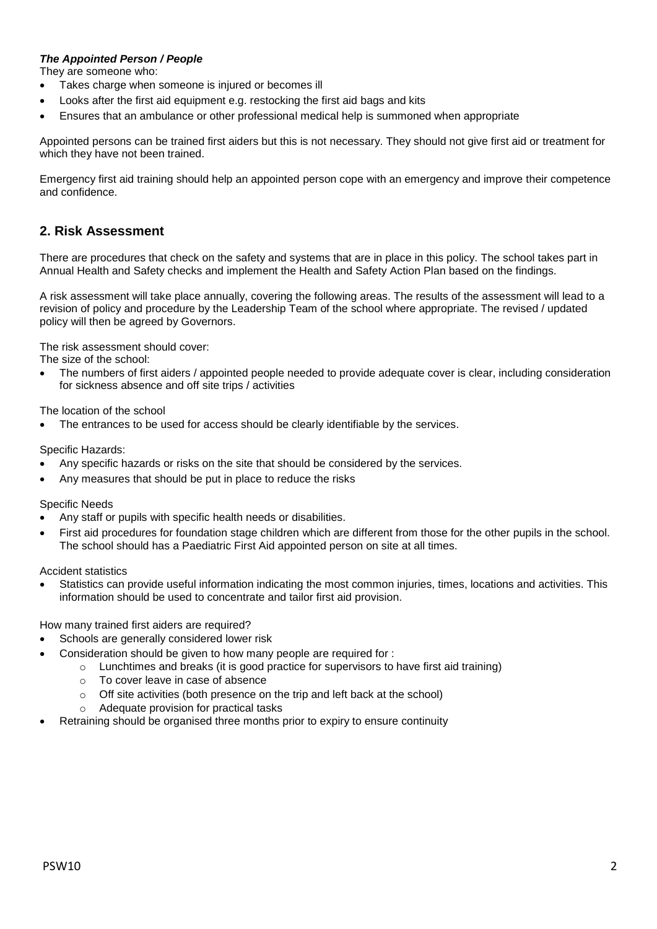## *The Appointed Person / People*

They are someone who:

- Takes charge when someone is injured or becomes ill
- Looks after the first aid equipment e.g. restocking the first aid bags and kits
- Ensures that an ambulance or other professional medical help is summoned when appropriate

Appointed persons can be trained first aiders but this is not necessary. They should not give first aid or treatment for which they have not been trained.

Emergency first aid training should help an appointed person cope with an emergency and improve their competence and confidence.

# **2. Risk Assessment**

There are procedures that check on the safety and systems that are in place in this policy. The school takes part in Annual Health and Safety checks and implement the Health and Safety Action Plan based on the findings.

A risk assessment will take place annually, covering the following areas. The results of the assessment will lead to a revision of policy and procedure by the Leadership Team of the school where appropriate. The revised / updated policy will then be agreed by Governors.

The risk assessment should cover:

The size of the school:

 The numbers of first aiders / appointed people needed to provide adequate cover is clear, including consideration for sickness absence and off site trips / activities

The location of the school

The entrances to be used for access should be clearly identifiable by the services.

Specific Hazards:

- Any specific hazards or risks on the site that should be considered by the services.
- Any measures that should be put in place to reduce the risks

Specific Needs

- Any staff or pupils with specific health needs or disabilities.
- First aid procedures for foundation stage children which are different from those for the other pupils in the school. The school should has a Paediatric First Aid appointed person on site at all times.

Accident statistics

 Statistics can provide useful information indicating the most common injuries, times, locations and activities. This information should be used to concentrate and tailor first aid provision.

How many trained first aiders are required?

- Schools are generally considered lower risk
- Consideration should be given to how many people are required for :
	- $\circ$  Lunchtimes and breaks (it is good practice for supervisors to have first aid training)
		- o To cover leave in case of absence
		- o Off site activities (both presence on the trip and left back at the school)
		- o Adequate provision for practical tasks
- Retraining should be organised three months prior to expiry to ensure continuity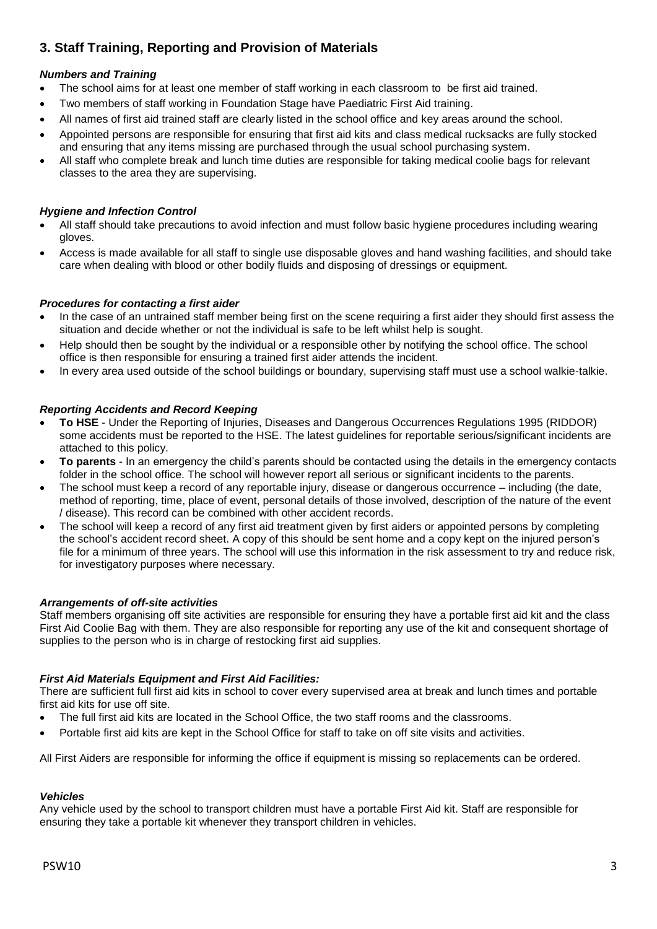# **3. Staff Training, Reporting and Provision of Materials**

# *Numbers and Training*

- The school aims for at least one member of staff working in each classroom to be first aid trained.
- Two members of staff working in Foundation Stage have Paediatric First Aid training.
- All names of first aid trained staff are clearly listed in the school office and key areas around the school.
- Appointed persons are responsible for ensuring that first aid kits and class medical rucksacks are fully stocked and ensuring that any items missing are purchased through the usual school purchasing system.
- All staff who complete break and lunch time duties are responsible for taking medical coolie bags for relevant classes to the area they are supervising.

## *Hygiene and Infection Control*

- All staff should take precautions to avoid infection and must follow basic hygiene procedures including wearing gloves.
- Access is made available for all staff to single use disposable gloves and hand washing facilities, and should take care when dealing with blood or other bodily fluids and disposing of dressings or equipment.

# *Procedures for contacting a first aider*

- In the case of an untrained staff member being first on the scene requiring a first aider they should first assess the situation and decide whether or not the individual is safe to be left whilst help is sought.
- Help should then be sought by the individual or a responsible other by notifying the school office. The school office is then responsible for ensuring a trained first aider attends the incident.
- In every area used outside of the school buildings or boundary, supervising staff must use a school walkie-talkie.

## *Reporting Accidents and Record Keeping*

- **To HSE** Under the Reporting of Injuries, Diseases and Dangerous Occurrences Regulations 1995 (RIDDOR) some accidents must be reported to the HSE. The latest guidelines for reportable serious/significant incidents are attached to this policy.
- **To parents** In an emergency the child's parents should be contacted using the details in the emergency contacts folder in the school office. The school will however report all serious or significant incidents to the parents.
- The school must keep a record of any reportable injury, disease or dangerous occurrence including (the date, method of reporting, time, place of event, personal details of those involved, description of the nature of the event / disease). This record can be combined with other accident records.
- The school will keep a record of any first aid treatment given by first aiders or appointed persons by completing the school's accident record sheet. A copy of this should be sent home and a copy kept on the injured person's file for a minimum of three years. The school will use this information in the risk assessment to try and reduce risk, for investigatory purposes where necessary.

## *Arrangements of off-site activities*

Staff members organising off site activities are responsible for ensuring they have a portable first aid kit and the class First Aid Coolie Bag with them. They are also responsible for reporting any use of the kit and consequent shortage of supplies to the person who is in charge of restocking first aid supplies.

## *First Aid Materials Equipment and First Aid Facilities:*

There are sufficient full first aid kits in school to cover every supervised area at break and lunch times and portable first aid kits for use off site.

- The full first aid kits are located in the School Office, the two staff rooms and the classrooms.
- Portable first aid kits are kept in the School Office for staff to take on off site visits and activities.

All First Aiders are responsible for informing the office if equipment is missing so replacements can be ordered.

## *Vehicles*

Any vehicle used by the school to transport children must have a portable First Aid kit. Staff are responsible for ensuring they take a portable kit whenever they transport children in vehicles.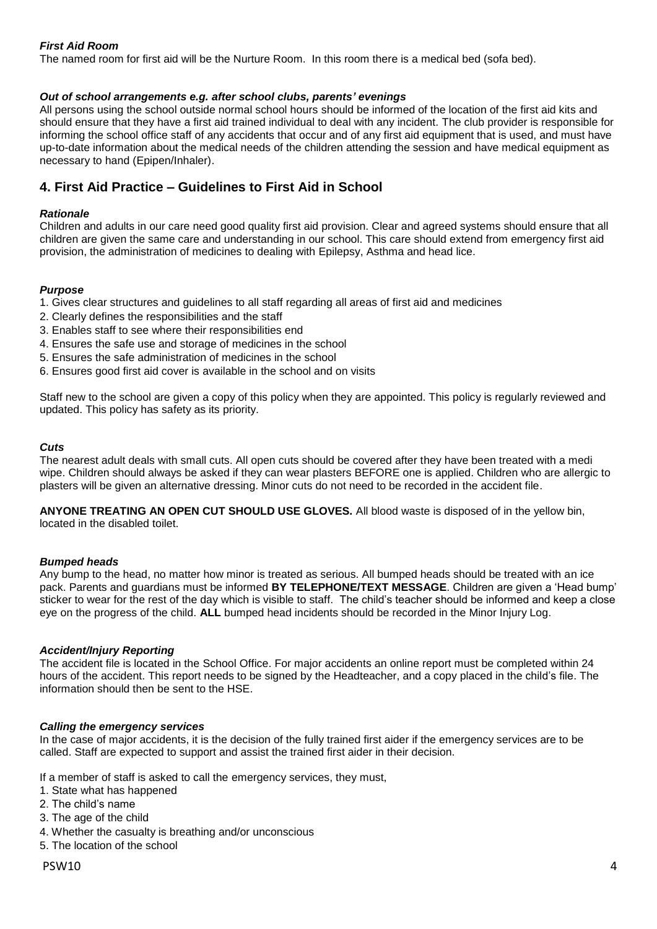# *First Aid Room*

The named room for first aid will be the Nurture Room. In this room there is a medical bed (sofa bed).

#### *Out of school arrangements e.g. after school clubs, parents' evenings*

All persons using the school outside normal school hours should be informed of the location of the first aid kits and should ensure that they have a first aid trained individual to deal with any incident. The club provider is responsible for informing the school office staff of any accidents that occur and of any first aid equipment that is used, and must have up-to-date information about the medical needs of the children attending the session and have medical equipment as necessary to hand (Epipen/Inhaler).

# **4. First Aid Practice – Guidelines to First Aid in School**

#### *Rationale*

Children and adults in our care need good quality first aid provision. Clear and agreed systems should ensure that all children are given the same care and understanding in our school. This care should extend from emergency first aid provision, the administration of medicines to dealing with Epilepsy, Asthma and head lice.

#### *Purpose*

1. Gives clear structures and guidelines to all staff regarding all areas of first aid and medicines

- 2. Clearly defines the responsibilities and the staff
- 3. Enables staff to see where their responsibilities end
- 4. Ensures the safe use and storage of medicines in the school
- 5. Ensures the safe administration of medicines in the school
- 6. Ensures good first aid cover is available in the school and on visits

Staff new to the school are given a copy of this policy when they are appointed. This policy is regularly reviewed and updated. This policy has safety as its priority.

#### *Cuts*

The nearest adult deals with small cuts. All open cuts should be covered after they have been treated with a medi wipe. Children should always be asked if they can wear plasters BEFORE one is applied. Children who are allergic to plasters will be given an alternative dressing. Minor cuts do not need to be recorded in the accident file.

**ANYONE TREATING AN OPEN CUT SHOULD USE GLOVES.** All blood waste is disposed of in the yellow bin, located in the disabled toilet.

## *Bumped heads*

Any bump to the head, no matter how minor is treated as serious. All bumped heads should be treated with an ice pack. Parents and guardians must be informed **BY TELEPHONE/TEXT MESSAGE**. Children are given a 'Head bump' sticker to wear for the rest of the day which is visible to staff. The child's teacher should be informed and keep a close eye on the progress of the child. **ALL** bumped head incidents should be recorded in the Minor Injury Log.

#### *Accident/Injury Reporting*

The accident file is located in the School Office. For major accidents an online report must be completed within 24 hours of the accident. This report needs to be signed by the Headteacher, and a copy placed in the child's file. The information should then be sent to the HSE.

## *Calling the emergency services*

In the case of major accidents, it is the decision of the fully trained first aider if the emergency services are to be called. Staff are expected to support and assist the trained first aider in their decision.

If a member of staff is asked to call the emergency services, they must,

- 1. State what has happened
- 2. The child's name
- 3. The age of the child
- 4. Whether the casualty is breathing and/or unconscious
- 5. The location of the school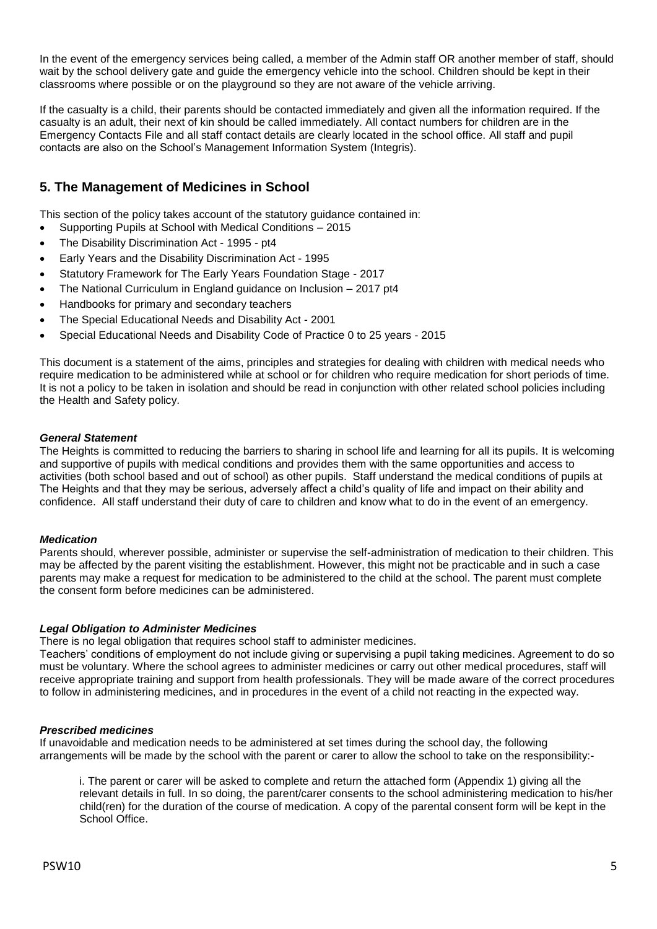In the event of the emergency services being called, a member of the Admin staff OR another member of staff, should wait by the school delivery gate and guide the emergency vehicle into the school. Children should be kept in their classrooms where possible or on the playground so they are not aware of the vehicle arriving.

If the casualty is a child, their parents should be contacted immediately and given all the information required. If the casualty is an adult, their next of kin should be called immediately. All contact numbers for children are in the Emergency Contacts File and all staff contact details are clearly located in the school office. All staff and pupil contacts are also on the School's Management Information System (Integris).

# **5. The Management of Medicines in School**

This section of the policy takes account of the statutory guidance contained in:

- Supporting Pupils at School with Medical Conditions 2015
- The Disability Discrimination Act 1995 pt4
- Early Years and the Disability Discrimination Act 1995
- Statutory Framework for The Early Years Foundation Stage 2017
- The National Curriculum in England guidance on Inclusion 2017 pt4
- Handbooks for primary and secondary teachers
- The Special Educational Needs and Disability Act 2001
- Special Educational Needs and Disability Code of Practice 0 to 25 years 2015

This document is a statement of the aims, principles and strategies for dealing with children with medical needs who require medication to be administered while at school or for children who require medication for short periods of time. It is not a policy to be taken in isolation and should be read in conjunction with other related school policies including the Health and Safety policy.

## *General Statement*

The Heights is committed to reducing the barriers to sharing in school life and learning for all its pupils. It is welcoming and supportive of pupils with medical conditions and provides them with the same opportunities and access to activities (both school based and out of school) as other pupils. Staff understand the medical conditions of pupils at The Heights and that they may be serious, adversely affect a child's quality of life and impact on their ability and confidence. All staff understand their duty of care to children and know what to do in the event of an emergency.

## *Medication*

Parents should, wherever possible, administer or supervise the self-administration of medication to their children. This may be affected by the parent visiting the establishment. However, this might not be practicable and in such a case parents may make a request for medication to be administered to the child at the school. The parent must complete the consent form before medicines can be administered.

## *Legal Obligation to Administer Medicines*

There is no legal obligation that requires school staff to administer medicines.

Teachers' conditions of employment do not include giving or supervising a pupil taking medicines. Agreement to do so must be voluntary. Where the school agrees to administer medicines or carry out other medical procedures, staff will receive appropriate training and support from health professionals. They will be made aware of the correct procedures to follow in administering medicines, and in procedures in the event of a child not reacting in the expected way.

## *Prescribed medicines*

If unavoidable and medication needs to be administered at set times during the school day, the following arrangements will be made by the school with the parent or carer to allow the school to take on the responsibility:-

i. The parent or carer will be asked to complete and return the attached form (Appendix 1) giving all the relevant details in full. In so doing, the parent/carer consents to the school administering medication to his/her child(ren) for the duration of the course of medication. A copy of the parental consent form will be kept in the School Office.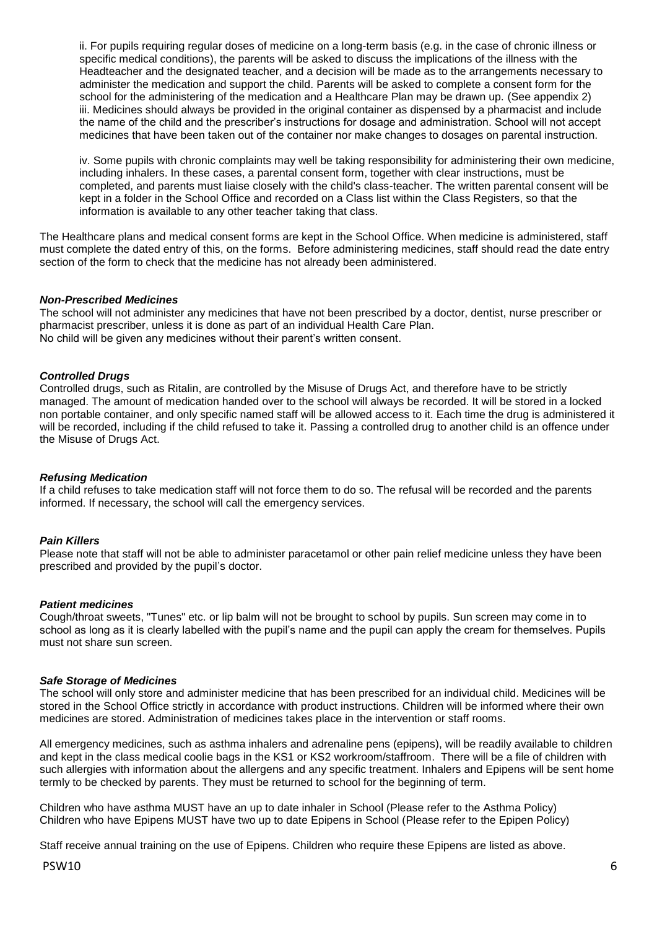ii. For pupils requiring regular doses of medicine on a long-term basis (e.g. in the case of chronic illness or specific medical conditions), the parents will be asked to discuss the implications of the illness with the Headteacher and the designated teacher, and a decision will be made as to the arrangements necessary to administer the medication and support the child. Parents will be asked to complete a consent form for the school for the administering of the medication and a Healthcare Plan may be drawn up. (See appendix 2) iii. Medicines should always be provided in the original container as dispensed by a pharmacist and include the name of the child and the prescriber's instructions for dosage and administration. School will not accept medicines that have been taken out of the container nor make changes to dosages on parental instruction.

iv. Some pupils with chronic complaints may well be taking responsibility for administering their own medicine, including inhalers. In these cases, a parental consent form, together with clear instructions, must be completed, and parents must liaise closely with the child's class-teacher. The written parental consent will be kept in a folder in the School Office and recorded on a Class list within the Class Registers, so that the information is available to any other teacher taking that class.

The Healthcare plans and medical consent forms are kept in the School Office. When medicine is administered, staff must complete the dated entry of this, on the forms. Before administering medicines, staff should read the date entry section of the form to check that the medicine has not already been administered.

#### *Non-Prescribed Medicines*

The school will not administer any medicines that have not been prescribed by a doctor, dentist, nurse prescriber or pharmacist prescriber, unless it is done as part of an individual Health Care Plan. No child will be given any medicines without their parent's written consent.

#### *Controlled Drugs*

Controlled drugs, such as Ritalin, are controlled by the Misuse of Drugs Act, and therefore have to be strictly managed. The amount of medication handed over to the school will always be recorded. It will be stored in a locked non portable container, and only specific named staff will be allowed access to it. Each time the drug is administered it will be recorded, including if the child refused to take it. Passing a controlled drug to another child is an offence under the Misuse of Drugs Act.

#### *Refusing Medication*

If a child refuses to take medication staff will not force them to do so. The refusal will be recorded and the parents informed. If necessary, the school will call the emergency services.

#### *Pain Killers*

Please note that staff will not be able to administer paracetamol or other pain relief medicine unless they have been prescribed and provided by the pupil's doctor.

#### *Patient medicines*

Cough/throat sweets, "Tunes" etc. or lip balm will not be brought to school by pupils. Sun screen may come in to school as long as it is clearly labelled with the pupil's name and the pupil can apply the cream for themselves. Pupils must not share sun screen.

#### *Safe Storage of Medicines*

The school will only store and administer medicine that has been prescribed for an individual child. Medicines will be stored in the School Office strictly in accordance with product instructions. Children will be informed where their own medicines are stored. Administration of medicines takes place in the intervention or staff rooms.

All emergency medicines, such as asthma inhalers and adrenaline pens (epipens), will be readily available to children and kept in the class medical coolie bags in the KS1 or KS2 workroom/staffroom. There will be a file of children with such allergies with information about the allergens and any specific treatment. Inhalers and Epipens will be sent home termly to be checked by parents. They must be returned to school for the beginning of term.

Children who have asthma MUST have an up to date inhaler in School (Please refer to the Asthma Policy) Children who have Epipens MUST have two up to date Epipens in School (Please refer to the Epipen Policy)

Staff receive annual training on the use of Epipens. Children who require these Epipens are listed as above.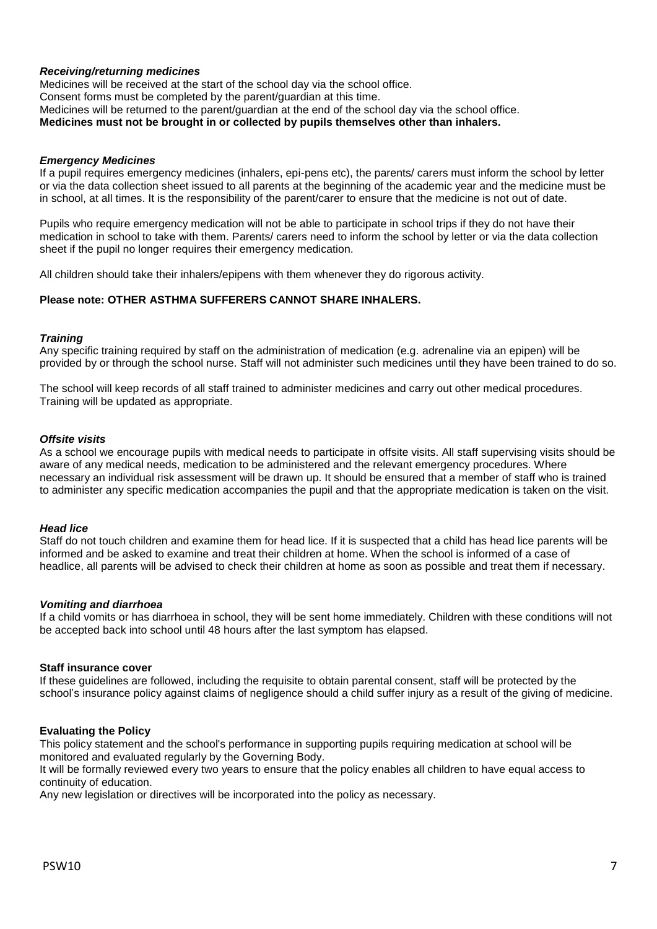#### *Receiving/returning medicines*

Medicines will be received at the start of the school day via the school office. Consent forms must be completed by the parent/guardian at this time. Medicines will be returned to the parent/guardian at the end of the school day via the school office. **Medicines must not be brought in or collected by pupils themselves other than inhalers.** 

#### *Emergency Medicines*

If a pupil requires emergency medicines (inhalers, epi-pens etc), the parents/ carers must inform the school by letter or via the data collection sheet issued to all parents at the beginning of the academic year and the medicine must be in school, at all times. It is the responsibility of the parent/carer to ensure that the medicine is not out of date.

Pupils who require emergency medication will not be able to participate in school trips if they do not have their medication in school to take with them. Parents/ carers need to inform the school by letter or via the data collection sheet if the pupil no longer requires their emergency medication.

All children should take their inhalers/epipens with them whenever they do rigorous activity.

## **Please note: OTHER ASTHMA SUFFERERS CANNOT SHARE INHALERS.**

#### *Training*

Any specific training required by staff on the administration of medication (e.g. adrenaline via an epipen) will be provided by or through the school nurse. Staff will not administer such medicines until they have been trained to do so.

The school will keep records of all staff trained to administer medicines and carry out other medical procedures. Training will be updated as appropriate.

#### *Offsite visits*

As a school we encourage pupils with medical needs to participate in offsite visits. All staff supervising visits should be aware of any medical needs, medication to be administered and the relevant emergency procedures. Where necessary an individual risk assessment will be drawn up. It should be ensured that a member of staff who is trained to administer any specific medication accompanies the pupil and that the appropriate medication is taken on the visit.

#### *Head lice*

Staff do not touch children and examine them for head lice. If it is suspected that a child has head lice parents will be informed and be asked to examine and treat their children at home. When the school is informed of a case of headlice, all parents will be advised to check their children at home as soon as possible and treat them if necessary.

#### *Vomiting and diarrhoea*

If a child vomits or has diarrhoea in school, they will be sent home immediately. Children with these conditions will not be accepted back into school until 48 hours after the last symptom has elapsed.

#### **Staff insurance cover**

If these guidelines are followed, including the requisite to obtain parental consent, staff will be protected by the school's insurance policy against claims of negligence should a child suffer injury as a result of the giving of medicine.

#### **Evaluating the Policy**

This policy statement and the school's performance in supporting pupils requiring medication at school will be monitored and evaluated regularly by the Governing Body.

It will be formally reviewed every two years to ensure that the policy enables all children to have equal access to continuity of education.

Any new legislation or directives will be incorporated into the policy as necessary.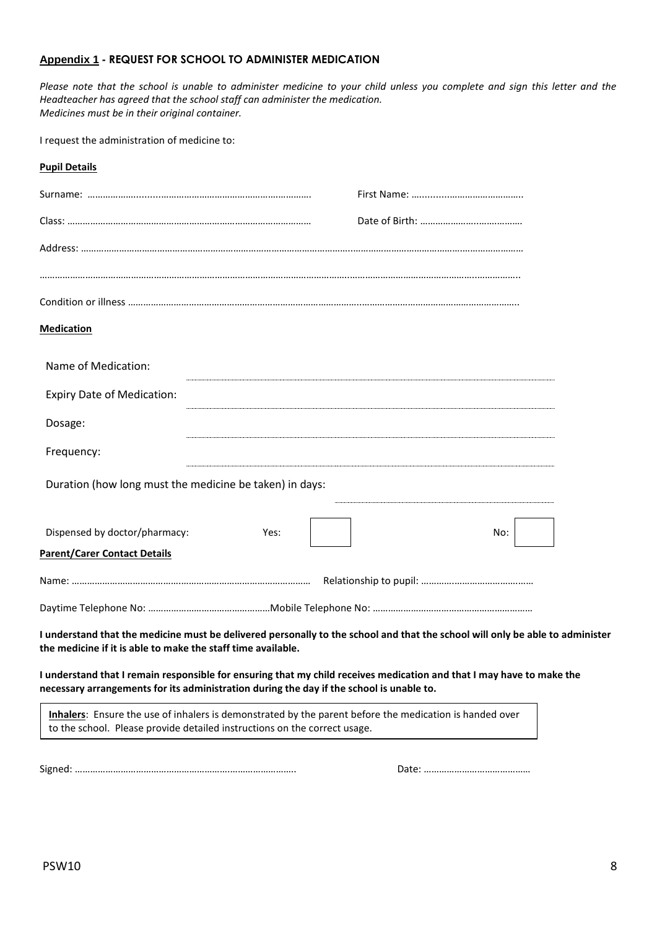#### **Appendix 1 - REQUEST FOR SCHOOL TO ADMINISTER MEDICATION**

*Please note that the school is unable to administer medicine to your child unless you complete and sign this letter and the Headteacher has agreed that the school staff can administer the medication. Medicines must be in their original container.*

I request the administration of medicine to:

| <b>Pupil Details</b>                                                                                                                                                                                                                                                                                                                                                                                               |      |     |  |
|--------------------------------------------------------------------------------------------------------------------------------------------------------------------------------------------------------------------------------------------------------------------------------------------------------------------------------------------------------------------------------------------------------------------|------|-----|--|
|                                                                                                                                                                                                                                                                                                                                                                                                                    |      |     |  |
|                                                                                                                                                                                                                                                                                                                                                                                                                    |      |     |  |
|                                                                                                                                                                                                                                                                                                                                                                                                                    |      |     |  |
|                                                                                                                                                                                                                                                                                                                                                                                                                    |      |     |  |
|                                                                                                                                                                                                                                                                                                                                                                                                                    |      |     |  |
| <b>Medication</b>                                                                                                                                                                                                                                                                                                                                                                                                  |      |     |  |
| Name of Medication:                                                                                                                                                                                                                                                                                                                                                                                                |      |     |  |
| <b>Expiry Date of Medication:</b>                                                                                                                                                                                                                                                                                                                                                                                  |      |     |  |
| Dosage:                                                                                                                                                                                                                                                                                                                                                                                                            |      |     |  |
| Frequency:                                                                                                                                                                                                                                                                                                                                                                                                         |      |     |  |
| Duration (how long must the medicine be taken) in days:                                                                                                                                                                                                                                                                                                                                                            |      |     |  |
| Dispensed by doctor/pharmacy:                                                                                                                                                                                                                                                                                                                                                                                      | Yes: | No: |  |
| <b>Parent/Carer Contact Details</b>                                                                                                                                                                                                                                                                                                                                                                                |      |     |  |
|                                                                                                                                                                                                                                                                                                                                                                                                                    |      |     |  |
|                                                                                                                                                                                                                                                                                                                                                                                                                    |      |     |  |
| I understand that the medicine must be delivered personally to the school and that the school will only be able to administer<br>the medicine if it is able to make the staff time available.<br>I understand that I remain responsible for ensuring that my child receives medication and that I may have to make the<br>necessary arrangements for its administration during the day if the school is unable to. |      |     |  |
| Inhalers: Ensure the use of inhalers is demonstrated by the parent before the medication is handed over                                                                                                                                                                                                                                                                                                            |      |     |  |

Signed: …………………………………………………….…………………….. Date: ……………………………………